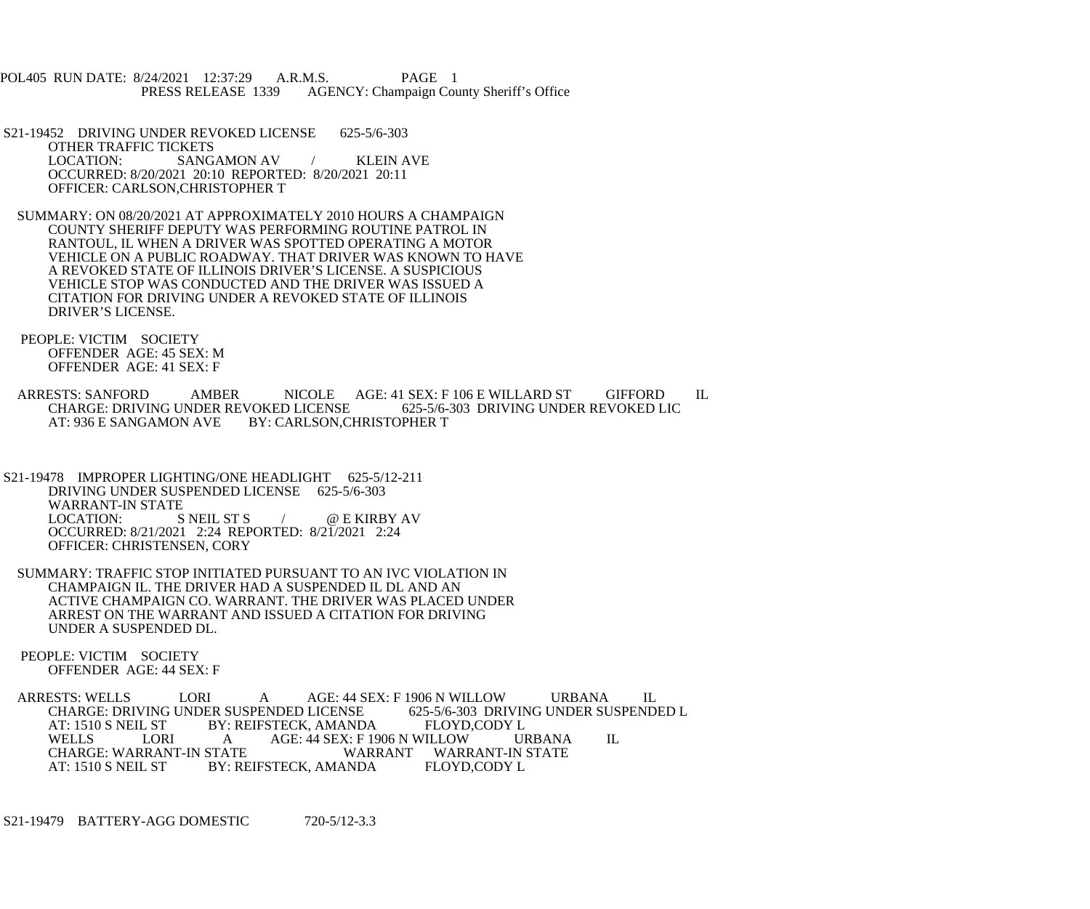POL405 RUN DATE: 8/24/2021 12:37:29 A.R.M.S. PAGE 1 PRESS RELEASE 1339 AGENCY: Champaign County Sheriff's Office

 S21-19452 DRIVING UNDER REVOKED LICENSE 625-5/6-303 OTHER TRAFFIC TICKETS<br>LOCATION: SANG SANGAMON AV / KLEIN AVE OCCURRED: 8/20/2021 20:10 REPORTED: 8/20/2021 20:11 OFFICER: CARLSON,CHRISTOPHER T

 SUMMARY: ON 08/20/2021 AT APPROXIMATELY 2010 HOURS A CHAMPAIGN COUNTY SHERIFF DEPUTY WAS PERFORMING ROUTINE PATROL IN RANTOUL, IL WHEN A DRIVER WAS SPOTTED OPERATING A MOTOR VEHICLE ON A PUBLIC ROADWAY. THAT DRIVER WAS KNOWN TO HAVE A REVOKED STATE OF ILLINOIS DRIVER'S LICENSE. A SUSPICIOUS VEHICLE STOP WAS CONDUCTED AND THE DRIVER WAS ISSUED A CITATION FOR DRIVING UNDER A REVOKED STATE OF ILLINOIS DRIVER'S LICENSE.

 PEOPLE: VICTIM SOCIETY OFFENDER AGE: 45 SEX: M OFFENDER AGE: 41 SEX: F

ARRESTS: SANFORD AMBER NICOLE AGE: 41 SEX: F 106 E WILLARD ST GIFFORD IL<br>CHARGE: DRIVING UNDER REVOKED LICENSE 625-5/6-303 DRIVING UNDER REVOKED LIC CHARGE: DRIVING UNDER REVOKED LICENSE<br>AT: 936 E SANGAMON AVE BY: CARLSON,C BY: CARLSON,CHRISTOPHER T

S21-19478 IMPROPER LIGHTING/ONE HEADLIGHT 625-5/12-211 DRIVING UNDER SUSPENDED LICENSE 625-5/6-303 WARRANT-IN STATE<br>LOCATION: SNEIL ST S  $\angle$  @ E KIRBY AV OCCURRED: 8/21/2021 2:24 REPORTED: 8/21/2021 2:24 OFFICER: CHRISTENSEN, CORY

 SUMMARY: TRAFFIC STOP INITIATED PURSUANT TO AN IVC VIOLATION IN CHAMPAIGN IL. THE DRIVER HAD A SUSPENDED IL DL AND AN ACTIVE CHAMPAIGN CO. WARRANT. THE DRIVER WAS PLACED UNDER ARREST ON THE WARRANT AND ISSUED A CITATION FOR DRIVING UNDER A SUSPENDED DL.

 PEOPLE: VICTIM SOCIETY OFFENDER AGE: 44 SEX: F

ARRESTS: WELLS LORI A AGE: 44 SEX: F 1906 N WILLOW URBANA IL<br>CHARGE: DRIVING UNDER SUSPENDED LICENSE 625-5/6-303 DRIVING UNDER SUSPENDED L CHARGE: DRIVING UNDER SUSPENDED LICENSE 625-5/6-303 DRIVIN<br>AT: 1510 S NEIL ST BY: REIFSTECK, AMANDA FLOYD,CODY L AT: 1510 S NEIL ST BY: REIFSTECK, AMANDA FLOYD,CODY L<br>WELLS LORI A AGE: 44 SEX: F 1906 N WILLOW URBANA LORI A AGE: 44 SEX: F 1906 N WILLOW URBANA IL RRANT-IN STATE WARRANT WARRANT-IN STATE CHARGE: WARRANT-IN STATE AT: 1510 S NEIL ST BY: REIFSTECK, AMANDA FLOYD, CODY L

S21-19479 BATTERY-AGG DOMESTIC 720-5/12-3.3